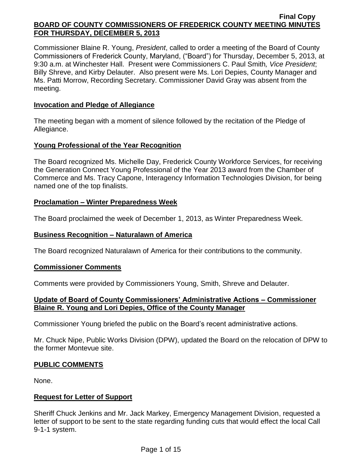Commissioner Blaine R. Young, *President*, called to order a meeting of the Board of County Commissioners of Frederick County, Maryland, ("Board") for Thursday, December 5, 2013, at 9:30 a.m. at Winchester Hall. Present were Commissioners C. Paul Smith*, Vice President*; Billy Shreve, and Kirby Delauter. Also present were Ms. Lori Depies, County Manager and Ms. Patti Morrow, Recording Secretary. Commissioner David Gray was absent from the meeting.

## **Invocation and Pledge of Allegiance**

The meeting began with a moment of silence followed by the recitation of the Pledge of Allegiance.

# **Young Professional of the Year Recognition**

The Board recognized Ms. Michelle Day, Frederick County Workforce Services, for receiving the Generation Connect Young Professional of the Year 2013 award from the Chamber of Commerce and Ms. Tracy Capone, Interagency Information Technologies Division, for being named one of the top finalists.

# **Proclamation – Winter Preparedness Week**

The Board proclaimed the week of December 1, 2013, as Winter Preparedness Week.

# **Business Recognition – Naturalawn of America**

The Board recognized Naturalawn of America for their contributions to the community.

### **Commissioner Comments**

Comments were provided by Commissioners Young, Smith, Shreve and Delauter.

# **Update of Board of County Commissioners' Administrative Actions – Commissioner Blaine R. Young and Lori Depies, Office of the County Manager**

Commissioner Young briefed the public on the Board's recent administrative actions.

Mr. Chuck Nipe, Public Works Division (DPW), updated the Board on the relocation of DPW to the former Montevue site.

### **PUBLIC COMMENTS**

None.

# **Request for Letter of Support**

Sheriff Chuck Jenkins and Mr. Jack Markey, Emergency Management Division, requested a letter of support to be sent to the state regarding funding cuts that would effect the local Call 9-1-1 system.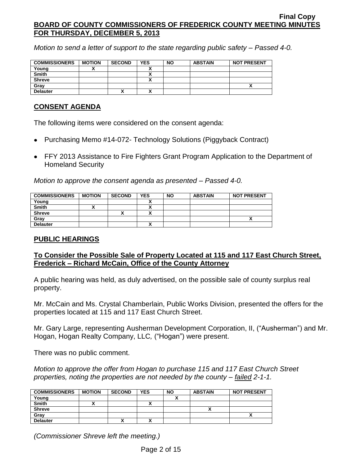*Motion to send a letter of support to the state regarding public safety – Passed 4-0.*

| <b>COMMISSIONERS</b> | <b>MOTION</b> | <b>SECOND</b> | <b>YES</b> | <b>NO</b> | <b>ABSTAIN</b> | <b>NOT PRESENT</b> |
|----------------------|---------------|---------------|------------|-----------|----------------|--------------------|
| Young                |               |               |            |           |                |                    |
| <b>Smith</b>         |               |               |            |           |                |                    |
| <b>Shreve</b>        |               |               |            |           |                |                    |
| Gray                 |               |               |            |           |                |                    |
| <b>Delauter</b>      |               | ^             |            |           |                |                    |

## **CONSENT AGENDA**

The following items were considered on the consent agenda:

- Purchasing Memo #14-072- Technology Solutions (Piggyback Contract)
- FFY 2013 Assistance to Fire Fighters Grant Program Application to the Department of Homeland Security

*Motion to approve the consent agenda as presented – Passed 4-0.*

| <b>COMMISSIONERS</b> | <b>MOTION</b> | <b>SECOND</b> | YES                  | <b>NO</b> | <b>ABSTAIN</b> | <b>NOT PRESENT</b> |
|----------------------|---------------|---------------|----------------------|-----------|----------------|--------------------|
| Young                |               |               | $\ddot{\phantom{1}}$ |           |                |                    |
| <b>Smith</b>         |               |               |                      |           |                |                    |
| <b>Shreve</b>        |               |               |                      |           |                |                    |
| Gray                 |               |               |                      |           |                |                    |
| <b>Delauter</b>      |               |               |                      |           |                |                    |

# **PUBLIC HEARINGS**

# **To Consider the Possible Sale of Property Located at 115 and 117 East Church Street, Frederick – Richard McCain, Office of the County Attorney**

A public hearing was held, as duly advertised, on the possible sale of county surplus real property.

Mr. McCain and Ms. Crystal Chamberlain, Public Works Division, presented the offers for the properties located at 115 and 117 East Church Street.

Mr. Gary Large, representing Ausherman Development Corporation, II, ("Ausherman") and Mr. Hogan, Hogan Realty Company, LLC*,* ("Hogan") were present.

There was no public comment.

*Motion to approve the offer from Hogan to purchase 115 and 117 East Church Street properties, noting the properties are not needed by the county – failed 2-1-1.*

| <b>COMMISSIONERS</b> | <b>MOTION</b> | <b>SECOND</b> | <b>YES</b> | <b>NO</b> | <b>ABSTAIN</b> | <b>NOT PRESENT</b> |
|----------------------|---------------|---------------|------------|-----------|----------------|--------------------|
| Young                |               |               |            |           |                |                    |
| <b>Smith</b>         |               |               | ,,         |           |                |                    |
| <b>Shreve</b>        |               |               |            |           |                |                    |
| Gray                 |               |               |            |           |                |                    |
| <b>Delauter</b>      |               | "             | ,,,        |           |                |                    |

*(Commissioner Shreve left the meeting.)*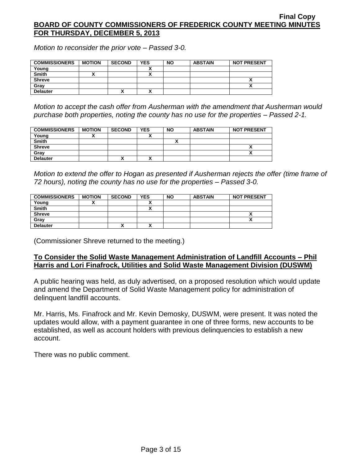*Motion to reconsider the prior vote – Passed 3-0.*

| <b>COMMISSIONERS</b> | <b>MOTION</b> | <b>SECOND</b> | <b>YES</b> | <b>NO</b> | <b>ABSTAIN</b> | <b>NOT PRESENT</b> |
|----------------------|---------------|---------------|------------|-----------|----------------|--------------------|
| Young                |               |               |            |           |                |                    |
| <b>Smith</b>         |               |               |            |           |                |                    |
| <b>Shreve</b>        |               |               |            |           |                |                    |
| Gray                 |               |               |            |           |                |                    |
| <b>Delauter</b>      |               | ,,            |            |           |                |                    |

*Motion to accept the cash offer from Ausherman with the amendment that Ausherman would purchase both properties, noting the county has no use for the properties – Passed 2-1.*

| <b>COMMISSIONERS</b> | <b>MOTION</b> | <b>SECOND</b> | <b>YES</b> | <b>NO</b> | <b>ABSTAIN</b> | <b>NOT PRESENT</b> |
|----------------------|---------------|---------------|------------|-----------|----------------|--------------------|
| Young                |               |               |            |           |                |                    |
| <b>Smith</b>         |               |               |            |           |                |                    |
| <b>Shreve</b>        |               |               |            |           |                |                    |
| Gray                 |               |               |            |           |                |                    |
| <b>Delauter</b>      |               | Λ             |            |           |                |                    |

*Motion to extend the offer to Hogan as presented if Ausherman rejects the offer (time frame of 72 hours), noting the county has no use for the properties – Passed 3-0.*

| <b>COMMISSIONERS</b> | <b>MOTION</b> | <b>SECOND</b> | <b>YES</b>   | <b>NO</b> | <b>ABSTAIN</b> | <b>NOT PRESENT</b> |
|----------------------|---------------|---------------|--------------|-----------|----------------|--------------------|
| Young                |               |               |              |           |                |                    |
| <b>Smith</b>         |               |               |              |           |                |                    |
| <b>Shreve</b>        |               |               |              |           |                | ↗                  |
| Gray                 |               |               |              |           |                |                    |
| <b>Delauter</b>      |               | "             | $\mathbf{v}$ |           |                |                    |

(Commissioner Shreve returned to the meeting.)

### **To Consider the Solid Waste Management Administration of Landfill Accounts – Phil Harris and Lori Finafrock, Utilities and Solid Waste Management Division (DUSWM)**

A public hearing was held, as duly advertised, on a proposed resolution which would update and amend the Department of Solid Waste Management policy for administration of delinquent landfill accounts.

Mr. Harris, Ms. Finafrock and Mr. Kevin Demosky, DUSWM, were present. It was noted the updates would allow, with a payment guarantee in one of three forms, new accounts to be established, as well as account holders with previous delinquencies to establish a new account.

There was no public comment.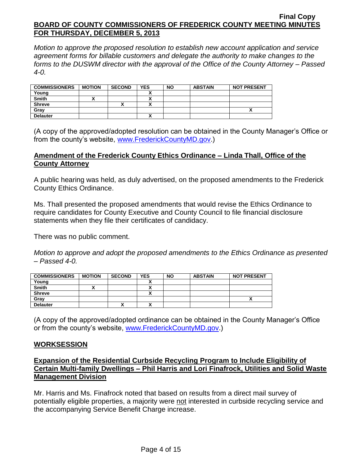*Motion to approve the proposed resolution to establish new account application and service agreement forms for billable customers and delegate the authority to make changes to the forms to the DUSWM director with the approval of the Office of the County Attorney – Passed 4-0.*

| <b>COMMISSIONERS</b> | <b>MOTION</b> | <b>SECOND</b> | <b>YES</b> | <b>NO</b> | <b>ABSTAIN</b> | <b>NOT PRESENT</b> |
|----------------------|---------------|---------------|------------|-----------|----------------|--------------------|
| Young                |               |               |            |           |                |                    |
| <b>Smith</b>         |               |               |            |           |                |                    |
| <b>Shreve</b>        |               |               |            |           |                |                    |
| Gray                 |               |               |            |           |                |                    |
| <b>Delauter</b>      |               |               | ~          |           |                |                    |

(A copy of the approved/adopted resolution can be obtained in the County Manager's Office or from the county's website, [www.FrederickCountyMD.gov.](http://www.frederickcountymd.gov/))

### **Amendment of the Frederick County Ethics Ordinance – Linda Thall, Office of the County Attorney**

A public hearing was held, as duly advertised, on the proposed amendments to the Frederick County Ethics Ordinance.

Ms. Thall presented the proposed amendments that would revise the Ethics Ordinance to require candidates for County Executive and County Council to file financial disclosure statements when they file their certificates of candidacy.

There was no public comment.

*Motion to approve and adopt the proposed amendments to the Ethics Ordinance as presented – Passed 4-0.*

| <b>COMMISSIONERS</b> | <b>MOTION</b> | <b>SECOND</b> | <b>YES</b> | <b>NO</b> | <b>ABSTAIN</b> | <b>NOT PRESENT</b> |
|----------------------|---------------|---------------|------------|-----------|----------------|--------------------|
| Young                |               |               |            |           |                |                    |
| <b>Smith</b>         |               |               | ~          |           |                |                    |
| <b>Shreve</b>        |               |               | ~          |           |                |                    |
| Gray                 |               |               |            |           |                | Λ                  |
| <b>Delauter</b>      |               | ́             | ^          |           |                |                    |

(A copy of the approved/adopted ordinance can be obtained in the County Manager's Office or from the county's website, [www.FrederickCountyMD.gov.](http://www.frederickcountymd.gov/))

### **WORKSESSION**

## **Expansion of the Residential Curbside Recycling Program to Include Eligibility of Certain Multi-family Dwellings – Phil Harris and Lori Finafrock, Utilities and Solid Waste Management Division**

Mr. Harris and Ms. Finafrock noted that based on results from a direct mail survey of potentially eligible properties, a majority were not interested in curbside recycling service and the accompanying Service Benefit Charge increase.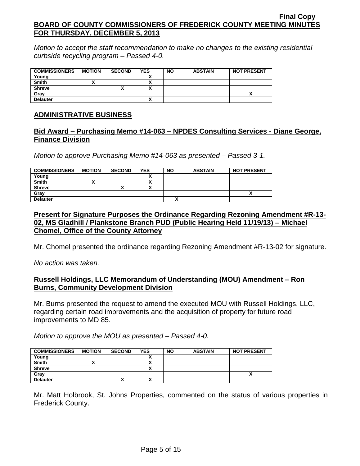*Motion to accept the staff recommendation to make no changes to the existing residential curbside recycling program – Passed 4-0.*

| <b>COMMISSIONERS</b> | <b>MOTION</b> | <b>SECOND</b> | <b>YES</b>               | <b>NO</b> | <b>ABSTAIN</b> | <b>NOT PRESENT</b> |
|----------------------|---------------|---------------|--------------------------|-----------|----------------|--------------------|
| Young                |               |               |                          |           |                |                    |
| <b>Smith</b>         |               |               | Λ                        |           |                |                    |
| <b>Shreve</b>        |               |               | $\overline{\phantom{a}}$ |           |                |                    |
| Gray                 |               |               |                          |           |                |                    |
| <b>Delauter</b>      |               |               | Λ                        |           |                |                    |

### **ADMINISTRATIVE BUSINESS**

#### **Bid Award – Purchasing Memo #14-063 – NPDES Consulting Services - Diane George, Finance Division**

*Motion to approve Purchasing Memo #14-063 as presented – Passed 3-1.*

| <b>COMMISSIONERS</b> | <b>MOTION</b> | <b>SECOND</b> | <b>YES</b>               | <b>NO</b> | <b>ABSTAIN</b> | <b>NOT PRESENT</b> |
|----------------------|---------------|---------------|--------------------------|-----------|----------------|--------------------|
| Young                |               |               |                          |           |                |                    |
| <b>Smith</b>         |               |               |                          |           |                |                    |
| <b>Shreve</b>        |               | '             | $\overline{\phantom{a}}$ |           |                |                    |
| Grav                 |               |               |                          |           |                | ,,                 |
| <b>Delauter</b>      |               |               |                          |           |                |                    |

## **Present for Signature Purposes the Ordinance Regarding Rezoning Amendment #R-13- 02, MS Gladhill / Plankstone Branch PUD (Public Hearing Held 11/19/13) – Michael Chomel, Office of the County Attorney**

Mr. Chomel presented the ordinance regarding Rezoning Amendment #R-13-02 for signature.

*No action was taken.*

#### **Russell Holdings, LLC Memorandum of Understanding (MOU) Amendment – Ron Burns, Community Development Division**

Mr. Burns presented the request to amend the executed MOU with Russell Holdings, LLC, regarding certain road improvements and the acquisition of property for future road improvements to MD 85.

*Motion to approve the MOU as presented – Passed 4-0.*

| <b>COMMISSIONERS</b> | <b>MOTION</b> | <b>SECOND</b> | <b>YES</b> | <b>NO</b> | <b>ABSTAIN</b> | <b>NOT PRESENT</b> |
|----------------------|---------------|---------------|------------|-----------|----------------|--------------------|
| Young                |               |               |            |           |                |                    |
| <b>Smith</b>         |               |               |            |           |                |                    |
| <b>Shreve</b>        |               |               |            |           |                |                    |
| Gray                 |               |               |            |           |                |                    |
| <b>Delauter</b>      |               | ́             |            |           |                |                    |

Mr. Matt Holbrook, St. Johns Properties, commented on the status of various properties in Frederick County.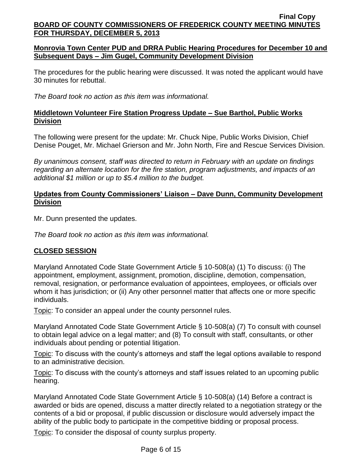## **Monrovia Town Center PUD and DRRA Public Hearing Procedures for December 10 and Subsequent Days – Jim Gugel, Community Development Division**

The procedures for the public hearing were discussed. It was noted the applicant would have 30 minutes for rebuttal.

*The Board took no action as this item was informational.*

# **Middletown Volunteer Fire Station Progress Update – Sue Barthol, Public Works Division**

The following were present for the update: Mr. Chuck Nipe, Public Works Division, Chief Denise Pouget, Mr. Michael Grierson and Mr. John North, Fire and Rescue Services Division.

*By unanimous consent, staff was directed to return in February with an update on findings regarding an alternate location for the fire station, program adjustments, and impacts of an additional \$1 million or up to \$5.4 million to the budget.*

## **Updates from County Commissioners' Liaison – Dave Dunn, Community Development Division**

Mr. Dunn presented the updates.

*The Board took no action as this item was informational.*

# **CLOSED SESSION**

Maryland Annotated Code State Government Article § 10-508(a) (1) To discuss: (i) The appointment, employment, assignment, promotion, discipline, demotion, compensation, removal, resignation, or performance evaluation of appointees, employees, or officials over whom it has jurisdiction; or (ii) Any other personnel matter that affects one or more specific individuals.

Topic: To consider an appeal under the county personnel rules.

Maryland Annotated Code State Government Article § 10-508(a) (7) To consult with counsel to obtain legal advice on a legal matter; and (8) To consult with staff, consultants, or other individuals about pending or potential litigation.

Topic: To discuss with the county's attorneys and staff the legal options available to respond to an administrative decision.

Topic: To discuss with the county's attorneys and staff issues related to an upcoming public hearing.

Maryland Annotated Code State Government Article § 10-508(a) (14) Before a contract is awarded or bids are opened, discuss a matter directly related to a negotiation strategy or the contents of a bid or proposal, if public discussion or disclosure would adversely impact the ability of the public body to participate in the competitive bidding or proposal process.

Topic: To consider the disposal of county surplus property.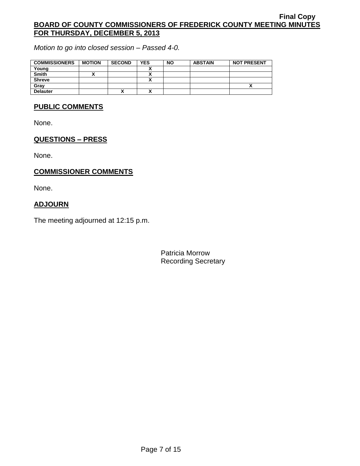*Motion to go into closed session – Passed 4-0.*

| <b>COMMISSIONERS</b> | <b>MOTION</b> | <b>SECOND</b> | <b>YES</b> | <b>NO</b> | <b>ABSTAIN</b> | <b>NOT PRESENT</b> |
|----------------------|---------------|---------------|------------|-----------|----------------|--------------------|
| Young                |               |               |            |           |                |                    |
| <b>Smith</b>         |               |               |            |           |                |                    |
| <b>Shreve</b>        |               |               |            |           |                |                    |
| Gray                 |               |               |            |           |                |                    |
| <b>Delauter</b>      |               | ^             |            |           |                |                    |

#### **PUBLIC COMMENTS**

None.

# **QUESTIONS – PRESS**

None.

# **COMMISSIONER COMMENTS**

None.

## **ADJOURN**

The meeting adjourned at 12:15 p.m.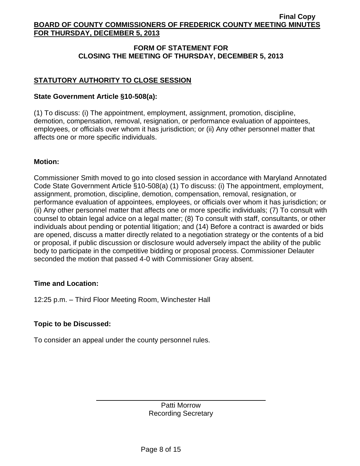# **FORM OF STATEMENT FOR CLOSING THE MEETING OF THURSDAY, DECEMBER 5, 2013**

# **STATUTORY AUTHORITY TO CLOSE SESSION**

## **State Government Article §10-508(a):**

(1) To discuss: (i) The appointment, employment, assignment, promotion, discipline, demotion, compensation, removal, resignation, or performance evaluation of appointees, employees, or officials over whom it has jurisdiction; or (ii) Any other personnel matter that affects one or more specific individuals.

### **Motion:**

Commissioner Smith moved to go into closed session in accordance with Maryland Annotated Code State Government Article §10-508(a) (1) To discuss: (i) The appointment, employment, assignment, promotion, discipline, demotion, compensation, removal, resignation, or performance evaluation of appointees, employees, or officials over whom it has jurisdiction; or (ii) Any other personnel matter that affects one or more specific individuals; (7) To consult with counsel to obtain legal advice on a legal matter; (8) To consult with staff, consultants, or other individuals about pending or potential litigation; and (14) Before a contract is awarded or bids are opened, discuss a matter directly related to a negotiation strategy or the contents of a bid or proposal, if public discussion or disclosure would adversely impact the ability of the public body to participate in the competitive bidding or proposal process. Commissioner Delauter seconded the motion that passed 4-0 with Commissioner Gray absent.

### **Time and Location:**

12:25 p.m. – Third Floor Meeting Room, Winchester Hall

# **Topic to be Discussed:**

To consider an appeal under the county personnel rules.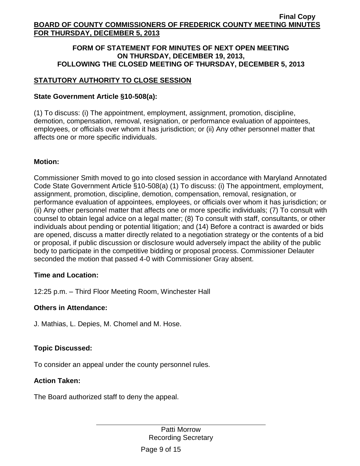### **FORM OF STATEMENT FOR MINUTES OF NEXT OPEN MEETING ON THURSDAY, DECEMBER 19, 2013, FOLLOWING THE CLOSED MEETING OF THURSDAY, DECEMBER 5, 2013**

# **STATUTORY AUTHORITY TO CLOSE SESSION**

# **State Government Article §10-508(a):**

(1) To discuss: (i) The appointment, employment, assignment, promotion, discipline, demotion, compensation, removal, resignation, or performance evaluation of appointees, employees, or officials over whom it has jurisdiction; or (ii) Any other personnel matter that affects one or more specific individuals.

# **Motion:**

Commissioner Smith moved to go into closed session in accordance with Maryland Annotated Code State Government Article §10-508(a) (1) To discuss: (i) The appointment, employment, assignment, promotion, discipline, demotion, compensation, removal, resignation, or performance evaluation of appointees, employees, or officials over whom it has jurisdiction; or (ii) Any other personnel matter that affects one or more specific individuals; (7) To consult with counsel to obtain legal advice on a legal matter; (8) To consult with staff, consultants, or other individuals about pending or potential litigation; and (14) Before a contract is awarded or bids are opened, discuss a matter directly related to a negotiation strategy or the contents of a bid or proposal, if public discussion or disclosure would adversely impact the ability of the public body to participate in the competitive bidding or proposal process. Commissioner Delauter seconded the motion that passed 4-0 with Commissioner Gray absent.

# **Time and Location:**

12:25 p.m. – Third Floor Meeting Room, Winchester Hall

### **Others in Attendance:**

J. Mathias, L. Depies, M. Chomel and M. Hose.

# **Topic Discussed:**

To consider an appeal under the county personnel rules.

### **Action Taken:**

The Board authorized staff to deny the appeal.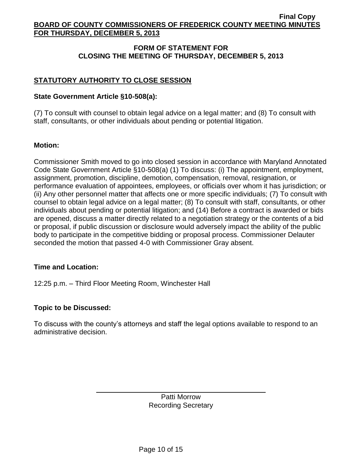# **FORM OF STATEMENT FOR CLOSING THE MEETING OF THURSDAY, DECEMBER 5, 2013**

# **STATUTORY AUTHORITY TO CLOSE SESSION**

## **State Government Article §10-508(a):**

(7) To consult with counsel to obtain legal advice on a legal matter; and (8) To consult with staff, consultants, or other individuals about pending or potential litigation.

# **Motion:**

Commissioner Smith moved to go into closed session in accordance with Maryland Annotated Code State Government Article §10-508(a) (1) To discuss: (i) The appointment, employment, assignment, promotion, discipline, demotion, compensation, removal, resignation, or performance evaluation of appointees, employees, or officials over whom it has jurisdiction; or (ii) Any other personnel matter that affects one or more specific individuals; (7) To consult with counsel to obtain legal advice on a legal matter; (8) To consult with staff, consultants, or other individuals about pending or potential litigation; and (14) Before a contract is awarded or bids are opened, discuss a matter directly related to a negotiation strategy or the contents of a bid or proposal, if public discussion or disclosure would adversely impact the ability of the public body to participate in the competitive bidding or proposal process. Commissioner Delauter seconded the motion that passed 4-0 with Commissioner Gray absent.

### **Time and Location:**

12:25 p.m. – Third Floor Meeting Room, Winchester Hall

### **Topic to be Discussed:**

To discuss with the county's attorneys and staff the legal options available to respond to an administrative decision.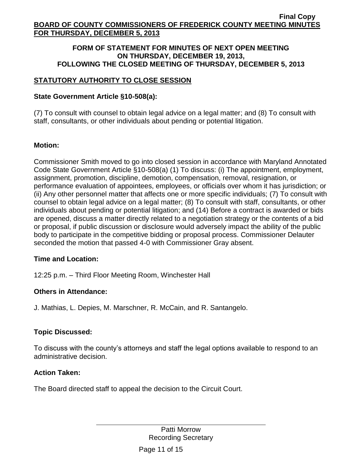#### **FORM OF STATEMENT FOR MINUTES OF NEXT OPEN MEETING ON THURSDAY, DECEMBER 19, 2013, FOLLOWING THE CLOSED MEETING OF THURSDAY, DECEMBER 5, 2013**

# **STATUTORY AUTHORITY TO CLOSE SESSION**

# **State Government Article §10-508(a):**

(7) To consult with counsel to obtain legal advice on a legal matter; and (8) To consult with staff, consultants, or other individuals about pending or potential litigation.

# **Motion:**

Commissioner Smith moved to go into closed session in accordance with Maryland Annotated Code State Government Article §10-508(a) (1) To discuss: (i) The appointment, employment, assignment, promotion, discipline, demotion, compensation, removal, resignation, or performance evaluation of appointees, employees, or officials over whom it has jurisdiction; or (ii) Any other personnel matter that affects one or more specific individuals; (7) To consult with counsel to obtain legal advice on a legal matter; (8) To consult with staff, consultants, or other individuals about pending or potential litigation; and (14) Before a contract is awarded or bids are opened, discuss a matter directly related to a negotiation strategy or the contents of a bid or proposal, if public discussion or disclosure would adversely impact the ability of the public body to participate in the competitive bidding or proposal process. Commissioner Delauter seconded the motion that passed 4-0 with Commissioner Gray absent.

### **Time and Location:**

12:25 p.m. – Third Floor Meeting Room, Winchester Hall

# **Others in Attendance:**

J. Mathias, L. Depies, M. Marschner, R. McCain, and R. Santangelo.

# **Topic Discussed:**

To discuss with the county's attorneys and staff the legal options available to respond to an administrative decision.

### **Action Taken:**

The Board directed staff to appeal the decision to the Circuit Court.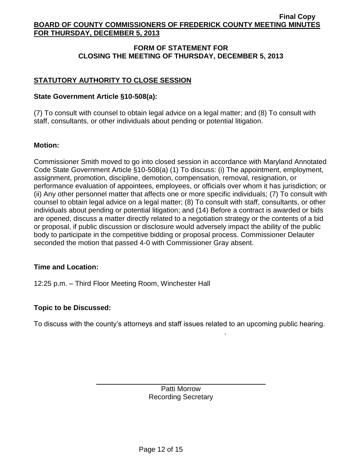# **FORM OF STATEMENT FOR CLOSING THE MEETING OF THURSDAY, DECEMBER 5, 2013**

# **STATUTORY AUTHORITY TO CLOSE SESSION**

## **State Government Article §10-508(a):**

(7) To consult with counsel to obtain legal advice on a legal matter; and (8) To consult with staff, consultants, or other individuals about pending or potential litigation.

# **Motion:**

Commissioner Smith moved to go into closed session in accordance with Maryland Annotated Code State Government Article §10-508(a) (1) To discuss: (i) The appointment, employment, assignment, promotion, discipline, demotion, compensation, removal, resignation, or performance evaluation of appointees, employees, or officials over whom it has jurisdiction; or (ii) Any other personnel matter that affects one or more specific individuals; (7) To consult with counsel to obtain legal advice on a legal matter; (8) To consult with staff, consultants, or other individuals about pending or potential litigation; and (14) Before a contract is awarded or bids are opened, discuss a matter directly related to a negotiation strategy or the contents of a bid or proposal, if public discussion or disclosure would adversely impact the ability of the public body to participate in the competitive bidding or proposal process. Commissioner Delauter seconded the motion that passed 4-0 with Commissioner Gray absent.

### **Time and Location:**

12:25 p.m. – Third Floor Meeting Room, Winchester Hall

### **Topic to be Discussed:**

To discuss with the county's attorneys and staff issues related to an upcoming public hearing.

.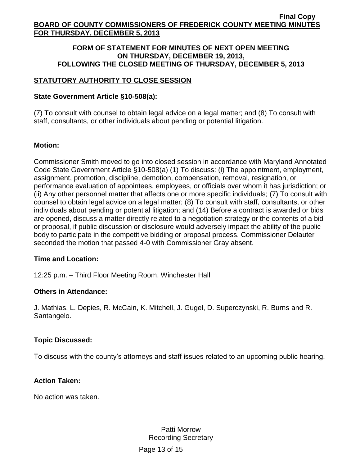#### **FORM OF STATEMENT FOR MINUTES OF NEXT OPEN MEETING ON THURSDAY, DECEMBER 19, 2013, FOLLOWING THE CLOSED MEETING OF THURSDAY, DECEMBER 5, 2013**

# **STATUTORY AUTHORITY TO CLOSE SESSION**

# **State Government Article §10-508(a):**

(7) To consult with counsel to obtain legal advice on a legal matter; and (8) To consult with staff, consultants, or other individuals about pending or potential litigation.

# **Motion:**

Commissioner Smith moved to go into closed session in accordance with Maryland Annotated Code State Government Article §10-508(a) (1) To discuss: (i) The appointment, employment, assignment, promotion, discipline, demotion, compensation, removal, resignation, or performance evaluation of appointees, employees, or officials over whom it has jurisdiction; or (ii) Any other personnel matter that affects one or more specific individuals; (7) To consult with counsel to obtain legal advice on a legal matter; (8) To consult with staff, consultants, or other individuals about pending or potential litigation; and (14) Before a contract is awarded or bids are opened, discuss a matter directly related to a negotiation strategy or the contents of a bid or proposal, if public discussion or disclosure would adversely impact the ability of the public body to participate in the competitive bidding or proposal process. Commissioner Delauter seconded the motion that passed 4-0 with Commissioner Gray absent.

### **Time and Location:**

12:25 p.m. – Third Floor Meeting Room, Winchester Hall

### **Others in Attendance:**

J. Mathias, L. Depies, R. McCain, K. Mitchell, J. Gugel, D. Superczynski, R. Burns and R. Santangelo.

# **Topic Discussed:**

To discuss with the county's attorneys and staff issues related to an upcoming public hearing.

### **Action Taken:**

No action was taken.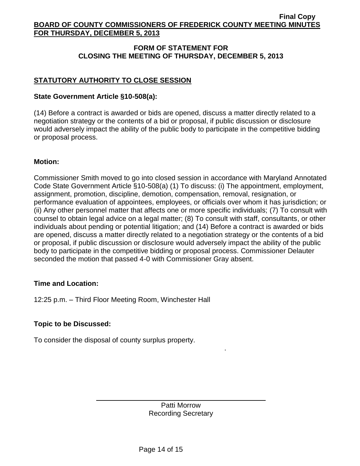# **FORM OF STATEMENT FOR CLOSING THE MEETING OF THURSDAY, DECEMBER 5, 2013**

# **STATUTORY AUTHORITY TO CLOSE SESSION**

# **State Government Article §10-508(a):**

(14) Before a contract is awarded or bids are opened, discuss a matter directly related to a negotiation strategy or the contents of a bid or proposal, if public discussion or disclosure would adversely impact the ability of the public body to participate in the competitive bidding or proposal process.

### **Motion:**

Commissioner Smith moved to go into closed session in accordance with Maryland Annotated Code State Government Article §10-508(a) (1) To discuss: (i) The appointment, employment, assignment, promotion, discipline, demotion, compensation, removal, resignation, or performance evaluation of appointees, employees, or officials over whom it has jurisdiction; or (ii) Any other personnel matter that affects one or more specific individuals; (7) To consult with counsel to obtain legal advice on a legal matter; (8) To consult with staff, consultants, or other individuals about pending or potential litigation; and (14) Before a contract is awarded or bids are opened, discuss a matter directly related to a negotiation strategy or the contents of a bid or proposal, if public discussion or disclosure would adversely impact the ability of the public body to participate in the competitive bidding or proposal process. Commissioner Delauter seconded the motion that passed 4-0 with Commissioner Gray absent.

### **Time and Location:**

12:25 p.m. – Third Floor Meeting Room, Winchester Hall

# **Topic to be Discussed:**

To consider the disposal of county surplus property.

Patti Morrow Recording Secretary .